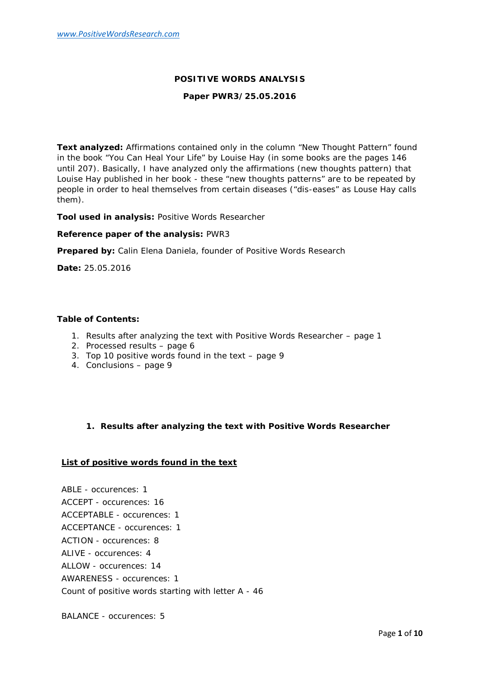## **POSITIVE WORDS ANALYSIS**

### **Paper PWR3/25.05.2016**

**Text analyzed:** Affirmations contained only in the column "New Thought Pattern" found in the book "You Can Heal Your Life" by Louise Hay (in some books are the pages 146 until 207). Basically, I have analyzed only the affirmations (new thoughts pattern) that Louise Hay published in her book - these "new thoughts patterns" are to be repeated by people in order to heal themselves from certain diseases ("dis-eases" as Louse Hay calls them).

**Tool used in analysis:** Positive Words Researcher

**Reference paper of the analysis:** PWR3

**Prepared by:** Calin Elena Daniela, founder of Positive Words Research

**Date:** 25.05.2016

#### **Table of Contents:**

- 1. Results after analyzing the text with Positive Words Researcher page 1
- 2. Processed results page 6
- 3. Top 10 positive words found in the text page 9
- 4. Conclusions page 9
	- **1. Results after analyzing the text with Positive Words Researcher**

## **List of positive words found in the text**

ABLE - occurences: 1 ACCEPT - occurences: 16 ACCEPTABLE - occurences: 1 ACCEPTANCE - occurences: 1 ACTION - occurences: 8 ALIVE - occurences: 4 ALLOW - occurences: 14 AWARENESS - occurences: 1 Count of positive words starting with letter A - 46

BALANCE - occurences: 5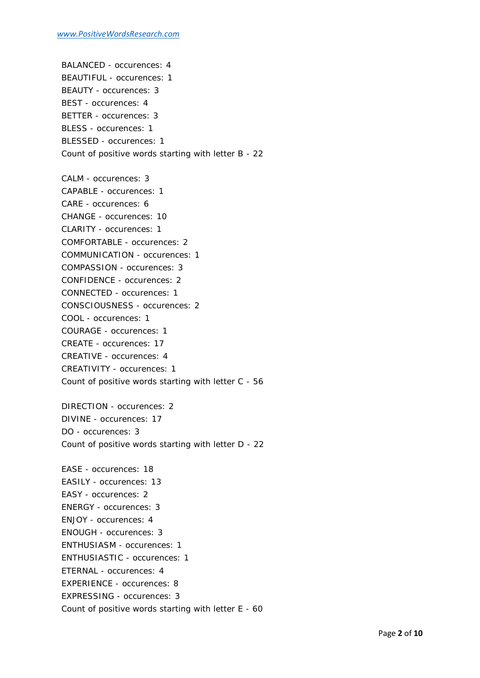BALANCED - occurences: 4 BEAUTIFUL - occurences: 1 BEAUTY - occurences: 3 BEST - occurences: 4 BETTER - occurences: 3 BLESS - occurences: 1 BLESSED - occurences: 1 Count of positive words starting with letter B - 22

CALM - occurences: 3 CAPABLE - occurences: 1 CARE - occurences: 6 CHANGE - occurences: 10 CLARITY - occurences: 1 COMFORTABLE - occurences: 2 COMMUNICATION - occurences: 1 COMPASSION - occurences: 3 CONFIDENCE - occurences: 2 CONNECTED - occurences: 1 CONSCIOUSNESS - occurences: 2 COOL - occurences: 1 COURAGE - occurences: 1 CREATE - occurences: 17 CREATIVE - occurences: 4 CREATIVITY - occurences: 1 Count of positive words starting with letter C - 56

DIRECTION - occurences: 2 DIVINE - occurences: 17 DO - occurences: 3 Count of positive words starting with letter D - 22

EASE - occurences: 18 EASILY - occurences: 13 EASY - occurences: 2 ENERGY - occurences: 3 ENJOY - occurences: 4 ENOUGH - occurences: 3 ENTHUSIASM - occurences: 1 ENTHUSIASTIC - occurences: 1 ETERNAL - occurences: 4 EXPERIENCE - occurences: 8 EXPRESSING - occurences: 3 Count of positive words starting with letter E - 60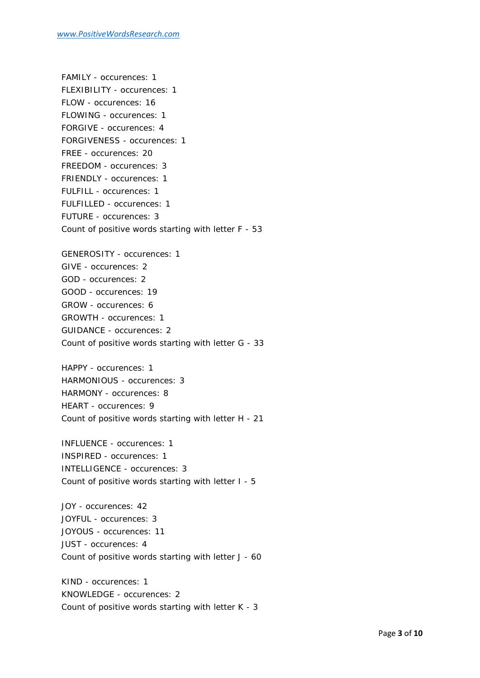FAMILY - occurences: 1 FLEXIBILITY - occurences: 1 FLOW - occurences: 16 FLOWING - occurences: 1 FORGIVE - occurences: 4 FORGIVENESS - occurences: 1 FREE - occurences: 20 FREEDOM - occurences: 3 FRIENDLY - occurences: 1 FULFILL - occurences: 1 FULFILLED - occurences: 1 FUTURE - occurences: 3 Count of positive words starting with letter F - 53

GENEROSITY - occurences: 1 GIVE - occurences: 2 GOD - occurences: 2 GOOD - occurences: 19 GROW - occurences: 6 GROWTH - occurences: 1 GUIDANCE - occurences: 2 Count of positive words starting with letter G - 33

HAPPY - occurences: 1 HARMONIOUS - occurences: 3 HARMONY - occurences: 8 HEART - occurences: 9 Count of positive words starting with letter H - 21

INFLUENCE - occurences: 1 INSPIRED - occurences: 1 INTELLIGENCE - occurences: 3 Count of positive words starting with letter I - 5

JOY - occurences: 42 JOYFUL - occurences: 3 JOYOUS - occurences: 11 JUST - occurences: 4 Count of positive words starting with letter J - 60

KIND - occurences: 1 KNOWLEDGE - occurences: 2 Count of positive words starting with letter K - 3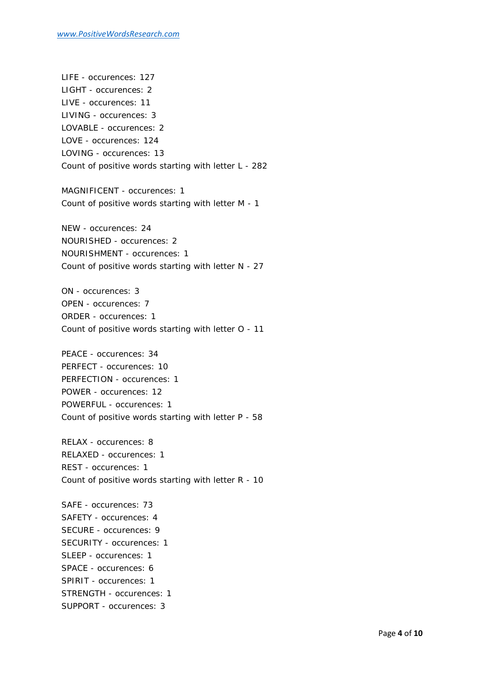LIFE - occurences: 127 LIGHT - occurences: 2 LIVE - occurences: 11 LIVING - occurences: 3 LOVABLE - occurences: 2 LOVE - occurences: 124 LOVING - occurences: 13 Count of positive words starting with letter L - 282

MAGNIFICENT - occurences: 1 Count of positive words starting with letter M - 1

NEW - occurences: 24 NOURISHED - occurences: 2 NOURISHMENT - occurences: 1 Count of positive words starting with letter N - 27

ON - occurences: 3 OPEN - occurences: 7 ORDER - occurences: 1 Count of positive words starting with letter O - 11

PEACE - occurences: 34 PERFECT - occurences: 10 PERFECTION - occurences: 1 POWER - occurences: 12 POWERFUL - occurences: 1 Count of positive words starting with letter P - 58

RELAX - occurences: 8 RELAXED - occurences: 1 REST - occurences: 1 Count of positive words starting with letter R - 10

SAFE - occurences: 73 SAFETY - occurences: 4 SECURE - occurences: 9 SECURITY - occurences: 1 SLEEP - occurences: 1 SPACE - occurences: 6 SPIRIT - occurences: 1 STRENGTH - occurences: 1 SUPPORT - occurences: 3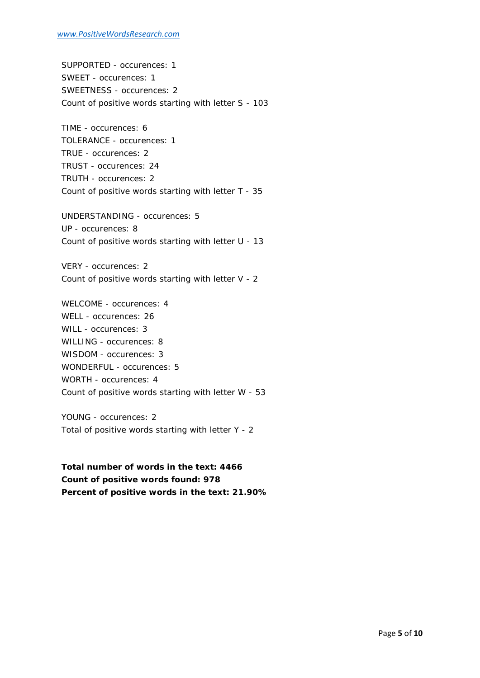SUPPORTED - occurences: 1 SWEET - occurences: 1 SWEETNESS - occurences: 2 Count of positive words starting with letter S - 103

TIME - occurences: 6 TOLERANCE - occurences: 1 TRUE - occurences: 2 TRUST - occurences: 24 TRUTH - occurences: 2 Count of positive words starting with letter T - 35

UNDERSTANDING - occurences: 5 UP - occurences: 8 Count of positive words starting with letter U - 13

VERY - occurences: 2 Count of positive words starting with letter V - 2

WELCOME - occurences: 4 WELL - occurences: 26 WILL - occurences: 3 WILLING - occurences: 8 WISDOM - occurences: 3 WONDERFUL - occurences: 5 WORTH - occurences: 4 Count of positive words starting with letter W - 53

YOUNG - occurences: 2 Total of positive words starting with letter Y - 2

**Total number of words in the text: 4466 Count of positive words found: 978 Percent of positive words in the text: 21.90%**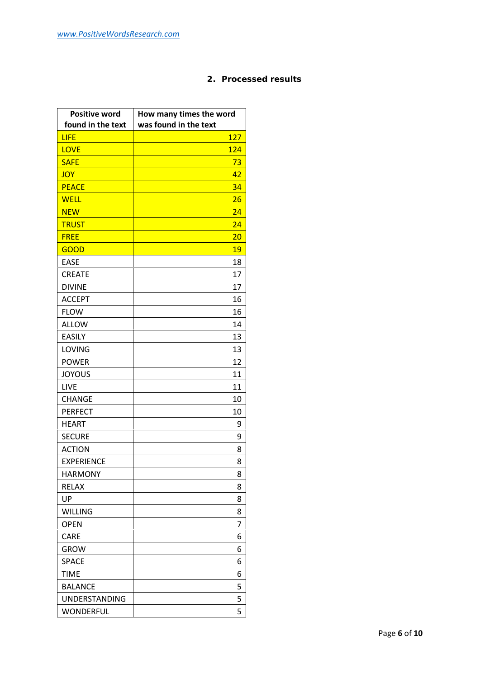# **2. Processed results**

| <b>Positive word</b><br>found in the text | How many times the word<br>was found in the text |
|-------------------------------------------|--------------------------------------------------|
| <b>LIFE</b>                               | 127                                              |
| <b>LOVE</b>                               | 124                                              |
| <b>SAFE</b>                               | 73                                               |
| <b>JOY</b>                                | 42                                               |
| <b>PEACE</b>                              | 34                                               |
| <b>WELL</b>                               | 26                                               |
| <b>NEW</b>                                | 24                                               |
| <b>TRUST</b>                              | 24                                               |
| <b>FREE</b>                               | 20                                               |
| <b>GOOD</b>                               | 19                                               |
| <b>EASE</b>                               | 18                                               |
| <b>CREATE</b>                             | 17                                               |
| <b>DIVINE</b>                             | 17                                               |
| <b>ACCEPT</b>                             | 16                                               |
| <b>FLOW</b>                               | 16                                               |
| <b>ALLOW</b>                              | 14                                               |
| <b>EASILY</b>                             | 13                                               |
| <b>LOVING</b>                             | 13                                               |
| <b>POWER</b>                              | 12                                               |
| <b>JOYOUS</b>                             | 11                                               |
| <b>LIVE</b>                               | 11                                               |
| <b>CHANGE</b>                             | 10                                               |
| <b>PERFECT</b>                            | 10                                               |
| <b>HEART</b>                              | 9                                                |
| <b>SECURE</b>                             | 9                                                |
| <b>ACTION</b>                             | 8                                                |
| <b>EXPERIENCE</b>                         | 8                                                |
| <b>HARMONY</b>                            | 8                                                |
| <b>RELAX</b>                              | 8                                                |
| UP                                        | 8                                                |
| <b>WILLING</b>                            | 8                                                |
| <b>OPEN</b>                               | 7                                                |
| <b>CARE</b>                               | 6                                                |
| <b>GROW</b>                               | 6                                                |
| <b>SPACE</b>                              | 6                                                |
| <b>TIME</b>                               | 6                                                |
| <b>BALANCE</b>                            | 5                                                |
| <b>UNDERSTANDING</b>                      | 5                                                |
| WONDERFUL                                 | 5                                                |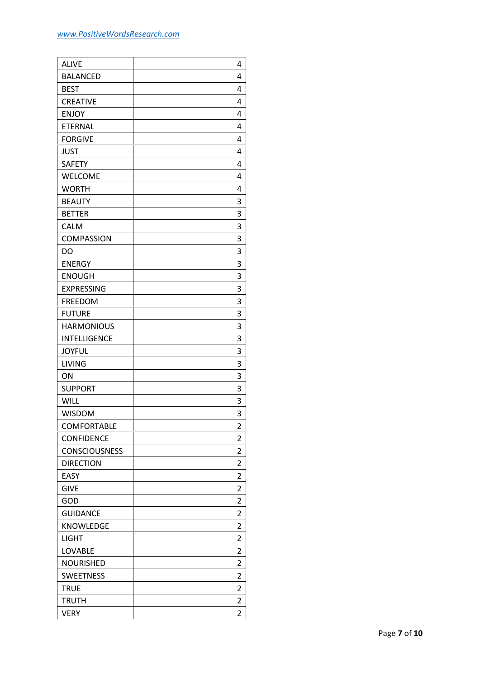| <b>ALIVE</b>         | 4              |  |
|----------------------|----------------|--|
| <b>BALANCED</b>      | 4              |  |
| <b>BEST</b>          | 4              |  |
| <b>CREATIVE</b>      | 4              |  |
| <b>ENJOY</b>         | 4              |  |
| <b>ETERNAL</b>       | 4              |  |
| <b>FORGIVE</b>       | 4              |  |
| <b>JUST</b>          | 4              |  |
| <b>SAFETY</b>        | 4              |  |
| <b>WELCOME</b>       | 4              |  |
| <b>WORTH</b>         | 4              |  |
| <b>BEAUTY</b>        | 3              |  |
| <b>BETTER</b>        | 3              |  |
| <b>CALM</b>          | 3              |  |
| <b>COMPASSION</b>    | 3              |  |
| DO                   | 3              |  |
| <b>ENERGY</b>        | 3              |  |
| <b>ENOUGH</b>        | 3              |  |
| <b>EXPRESSING</b>    | 3              |  |
| <b>FREEDOM</b>       | 3              |  |
| <b>FUTURE</b>        | 3              |  |
| <b>HARMONIOUS</b>    | 3              |  |
| <b>INTELLIGENCE</b>  | 3              |  |
| <b>JOYFUL</b>        | 3              |  |
| <b>LIVING</b>        | 3              |  |
| ON                   | 3              |  |
| <b>SUPPORT</b>       | 3              |  |
| <b>WILL</b>          | 3              |  |
| <b>WISDOM</b>        | 3              |  |
| <b>COMFORTABLE</b>   | 2              |  |
| <b>CONFIDENCE</b>    | 2              |  |
| <b>CONSCIOUSNESS</b> | $\overline{2}$ |  |
| <b>DIRECTION</b>     | 2              |  |
| EASY                 | 2              |  |
| <b>GIVE</b>          | 2              |  |
| GOD                  | 2              |  |
| <b>GUIDANCE</b>      | 2              |  |
| <b>KNOWLEDGE</b>     | 2              |  |
| <b>LIGHT</b>         | $\overline{2}$ |  |
| <b>LOVABLE</b>       | 2              |  |
| <b>NOURISHED</b>     | 2              |  |
| <b>SWEETNESS</b>     | 2              |  |
| <b>TRUE</b>          | 2              |  |
| <b>TRUTH</b>         | $\overline{2}$ |  |
| <b>VERY</b>          | $\overline{2}$ |  |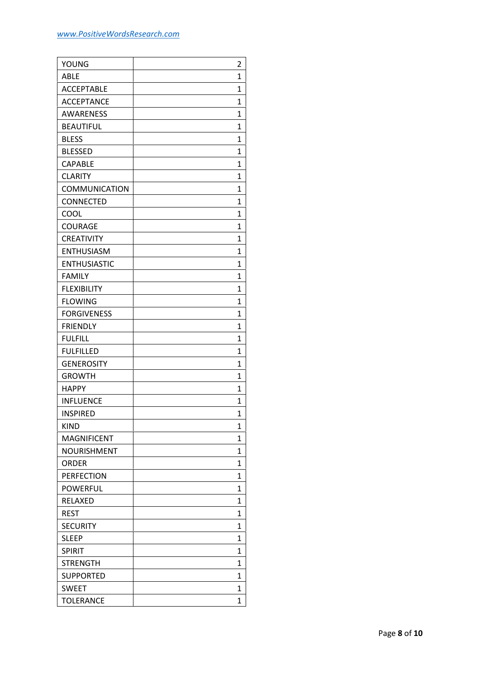| YOUNG                | $\overline{2}$ |  |
|----------------------|----------------|--|
| <b>ABLE</b>          | 1              |  |
| <b>ACCEPTABLE</b>    | 1              |  |
| <b>ACCEPTANCE</b>    | 1              |  |
| <b>AWARENESS</b>     | 1              |  |
| <b>BEAUTIFUL</b>     | 1              |  |
| <b>BLESS</b>         | 1              |  |
| <b>BLESSED</b>       | 1              |  |
| <b>CAPABLE</b>       | 1              |  |
| <b>CLARITY</b>       | 1              |  |
| <b>COMMUNICATION</b> | 1              |  |
| CONNECTED            | 1              |  |
| COOL                 | 1              |  |
| <b>COURAGE</b>       | 1              |  |
| <b>CREATIVITY</b>    | 1              |  |
| <b>ENTHUSIASM</b>    | 1              |  |
| <b>ENTHUSIASTIC</b>  | 1              |  |
| <b>FAMILY</b>        | 1              |  |
| <b>FLEXIBILITY</b>   | 1              |  |
| <b>FLOWING</b>       | 1              |  |
| <b>FORGIVENESS</b>   | 1              |  |
| <b>FRIENDLY</b>      | 1              |  |
| <b>FULFILL</b>       | 1              |  |
| <b>FULFILLED</b>     | 1              |  |
| <b>GENEROSITY</b>    | 1              |  |
| <b>GROWTH</b>        | 1              |  |
| <b>HAPPY</b>         | 1              |  |
| <b>INFLUENCE</b>     | 1              |  |
| <b>INSPIRED</b>      | $\overline{1}$ |  |
| <b>KIND</b>          | 1              |  |
| <b>MAGNIFICENT</b>   | 1              |  |
| NOURISHMENT          | 1              |  |
| <b>ORDER</b>         | 1              |  |
| <b>PERFECTION</b>    | $\mathbf{1}$   |  |
| <b>POWERFUL</b>      | 1              |  |
| RELAXED              | 1              |  |
| <b>REST</b>          | 1              |  |
| <b>SECURITY</b>      | 1              |  |
| <b>SLEEP</b>         | 1              |  |
| <b>SPIRIT</b>        | $\mathbf{1}$   |  |
| <b>STRENGTH</b>      | 1              |  |
| <b>SUPPORTED</b>     | 1              |  |
| <b>SWEET</b>         | 1              |  |
| <b>TOLERANCE</b>     | $\overline{1}$ |  |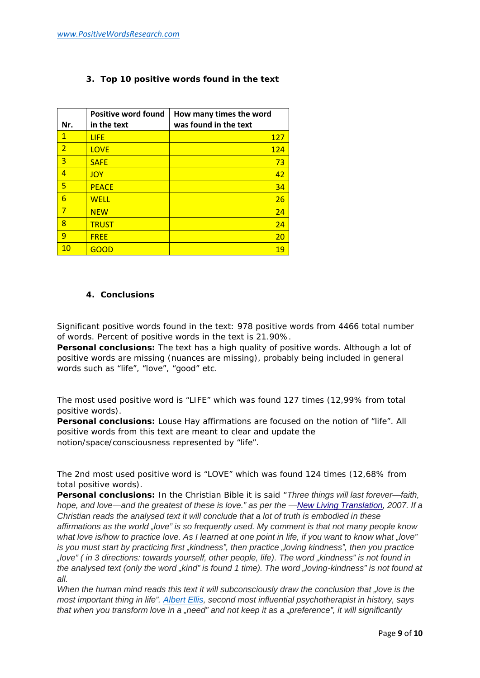**3. Top 10 positive words found in the text**

| Nr.            | <b>Positive word found</b><br>in the text | How many times the word<br>was found in the text |
|----------------|-------------------------------------------|--------------------------------------------------|
| $\mathbf{1}$   | <b>LIFE</b>                               | <b>127</b>                                       |
| $\overline{2}$ | <b>LOVE</b>                               | 124                                              |
| 3              | <b>SAFE</b>                               | 73                                               |
| 4              | <b>JOY</b>                                | 42                                               |
| 5              | <b>PEACE</b>                              | 34                                               |
| 6              | <b>WELL</b>                               | 26                                               |
| 7              | <b>NEW</b>                                | 24                                               |
| 8              | <b>TRUST</b>                              | 24                                               |
| 9              | <b>FREE</b>                               | 20                                               |
| 10             | GOOD                                      | 19                                               |

## **4. Conclusions**

Significant positive words found in the text: 978 positive words from 4466 total number of words. Percent of positive words in the text is 21.90%.

*Personal conclusions: The text has a high quality of positive words. Although a lot of positive words are missing (nuances are missing), probably being included in general words such as "life", "love", "good" etc.*

The most used positive word is "LIFE" which was found 127 times (12,99% from total positive words).

*Personal conclusions: Louse Hay affirmations are focused on the notion of "life". All positive words from this text are meant to clear and update the notion/space/consciousness represented by "life".*

The 2nd most used positive word is "LOVE" which was found 124 times (12,68% from total positive words).

*Personal conclusions: In the Christian Bible it is said "Three things will last forever—faith, hope, and love—and the greatest of these is love." as per the —New Living Translation, 2007. If a Christian reads the analysed text it will conclude that a lot of truth is embodied in these affirmations as the world "love" is so frequently used. My comment is that not many people know what love is/how to practice love. As I learned at one point in life, if you want to know what "love" is you must start by practicing first "kindness", then practice "loving kindness", then you practice "love" ( in 3 directions: towards yourself, other people, life). The word "kindness" is not found in the analysed text (only the word "kind" is found 1 time). The word "loving-kindness" is not found at all.*

*When the human mind reads this text it will subconsciously draw the conclusion that "love is the most important thing in life". Albert Ellis, second most influential psychotherapist in history, says that when you transform love in a "need" and not keep it as a "preference", it will significantly*